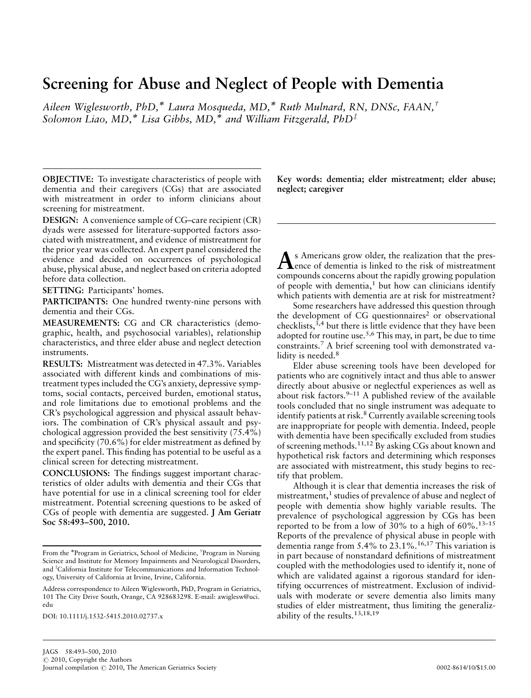# Screening for Abuse and Neglect of People with Dementia

Aileen Wiglesworth, PhD,\* Laura Mosqueda, MD,\* Ruth Mulnard, RN, DNSc, FAAN,† Solomon Liao, MD, $^*$  Lisa Gibbs, MD, $^*$  and William Fitzgerald, PhD $^\ddag$ 

OBJECTIVE: To investigate characteristics of people with dementia and their caregivers (CGs) that are associated with mistreatment in order to inform clinicians about screening for mistreatment.

DESIGN: A convenience sample of CG–care recipient (CR) dyads were assessed for literature-supported factors associated with mistreatment, and evidence of mistreatment for the prior year was collected. An expert panel considered the evidence and decided on occurrences of psychological abuse, physical abuse, and neglect based on criteria adopted before data collection.

SETTING: Participants' homes.

PARTICIPANTS: One hundred twenty-nine persons with dementia and their CGs.

MEASUREMENTS: CG and CR characteristics (demographic, health, and psychosocial variables), relationship characteristics, and three elder abuse and neglect detection instruments.

RESULTS: Mistreatment was detected in 47.3%. Variables associated with different kinds and combinations of mistreatment types included the CG's anxiety, depressive symptoms, social contacts, perceived burden, emotional status, and role limitations due to emotional problems and the CR's psychological aggression and physical assault behaviors. The combination of CR's physical assault and psychological aggression provided the best sensitivity (75.4%) and specificity (70.6%) for elder mistreatment as defined by the expert panel. This finding has potential to be useful as a clinical screen for detecting mistreatment.

CONCLUSIONS: The findings suggest important characteristics of older adults with dementia and their CGs that have potential for use in a clinical screening tool for elder mistreatment. Potential screening questions to be asked of CGs of people with dementia are suggested. J Am Geriatr Soc 58:493–500, 2010.

DOI: 10.1111/j.1532-5415.2010.02737.x

Key words: dementia; elder mistreatment; elder abuse; neglect; caregiver

As Americans grow older, the realization that the pres-<br>ence of dementia is linked to the risk of mistreatment compounds concerns about the rapidly growing population of people with dementia, $<sup>1</sup>$  but how can clinicians identify</sup> which patients with dementia are at risk for mistreatment?

Some researchers have addressed this question through the development of  $CG$  questionnaires<sup>2</sup> or observational checklists, $3,4$  but there is little evidence that they have been adopted for routine use.5,6 This may, in part, be due to time constraints.7 A brief screening tool with demonstrated validity is needed.<sup>8</sup>

Elder abuse screening tools have been developed for patients who are cognitively intact and thus able to answer directly about abusive or neglectful experiences as well as about risk factors.9–11 A published review of the available tools concluded that no single instrument was adequate to identify patients at risk.<sup>8</sup> Currently available screening tools are inappropriate for people with dementia. Indeed, people with dementia have been specifically excluded from studies of screening methods.11,12 By asking CGs about known and hypothetical risk factors and determining which responses are associated with mistreatment, this study begins to rectify that problem.

Although it is clear that dementia increases the risk of mistreatment,<sup>1</sup> studies of prevalence of abuse and neglect of people with dementia show highly variable results. The prevalence of psychological aggression by CGs has been reported to be from a low of 30% to a high of  $60\%$ .<sup>13–15</sup> Reports of the prevalence of physical abuse in people with dementia range from  $5.4\%$  to  $23.1\%$ .<sup>16,17</sup> This variation is in part because of nonstandard definitions of mistreatment coupled with the methodologies used to identify it, none of which are validated against a rigorous standard for identifying occurrences of mistreatment. Exclusion of individuals with moderate or severe dementia also limits many studies of elder mistreatment, thus limiting the generalizability of the results.13,18,19

From the \*Program in Geriatrics, School of Medicine, <sup>†</sup>Program in Nursing Science and Institute for Memory Impairments and Neurological Disorders, and <sup>‡</sup>California Institute for Telecommunications and Information Technology, University of California at Irvine, Irvine, California.

Address correspondence to Aileen Wiglesworth, PhD, Program in Geriatrics, 101 The City Drive South, Orange, CA 928683298. E-mail: [awiglesw@uci.](mailto:awiglesw@uci.edu) [edu](mailto:awiglesw@uci.edu)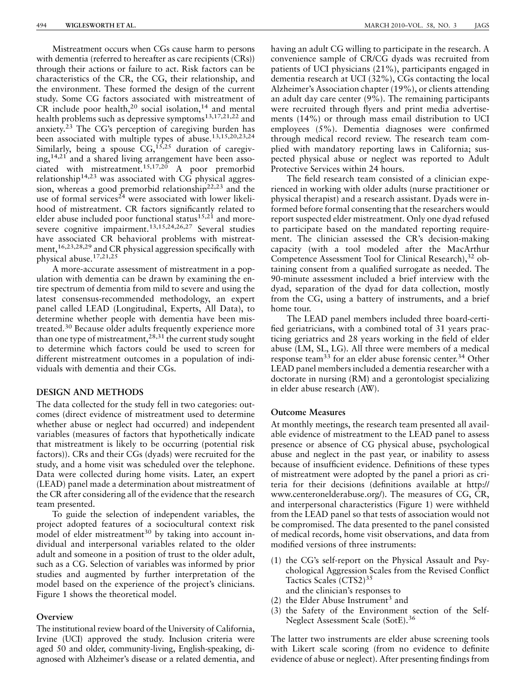Mistreatment occurs when CGs cause harm to persons with dementia (referred to hereafter as care recipients (CRs)) through their actions or failure to act. Risk factors can be characteristics of the CR, the CG, their relationship, and the environment. These formed the design of the current study. Some CG factors associated with mistreatment of CR include poor health,<sup>20</sup> social isolation,<sup>14</sup> and mental health problems such as depressive symptoms<sup>13,17,21,22</sup> and anxiety.<sup>23</sup> The CG's perception of caregiving burden has been associated with multiple types of abuse.13,15,20,23,24 Similarly, being a spouse  $CG<sub>1</sub>$ <sup>15,25</sup> duration of caregiving,14,21 and a shared living arrangement have been associated with mistreatment.<sup>15,17,20</sup> A poor premorbid relationship<sup>14,23</sup> was associated with  $CG$  physical aggression, whereas a good premorbid relationship<sup>22,23</sup> and the use of formal services<sup> $24$ </sup> were associated with lower likelihood of mistreatment. CR factors significantly related to elder abuse included poor functional status<sup>15,21</sup> and moresevere cognitive impairment.<sup>13,15,24,26,27</sup> Several studies have associated CR behavioral problems with mistreatment,16,23,28,29 and CR physical aggression specifically with physical abuse.17,21,25

A more-accurate assessment of mistreatment in a population with dementia can be drawn by examining the entire spectrum of dementia from mild to severe and using the latest consensus-recommended methodology, an expert panel called LEAD (Longitudinal, Experts, All Data), to determine whether people with dementia have been mistreated.<sup>30</sup> Because older adults frequently experience more than one type of mistreatment,  $28,31$  the current study sought to determine which factors could be used to screen for different mistreatment outcomes in a population of individuals with dementia and their CGs.

# DESIGN AND METHODS

The data collected for the study fell in two categories: outcomes (direct evidence of mistreatment used to determine whether abuse or neglect had occurred) and independent variables (measures of factors that hypothetically indicate that mistreatment is likely to be occurring (potential risk factors)). CRs and their CGs (dyads) were recruited for the study, and a home visit was scheduled over the telephone. Data were collected during home visits. Later, an expert (LEAD) panel made a determination about mistreatment of the CR after considering all of the evidence that the research team presented.

To guide the selection of independent variables, the project adopted features of a sociocultural context risk model of elder mistreatment<sup>30</sup> by taking into account individual and interpersonal variables related to the older adult and someone in a position of trust to the older adult, such as a CG. Selection of variables was informed by prior studies and augmented by further interpretation of the model based on the experience of the project's clinicians. Figure 1 shows the theoretical model.

# Overview

The institutional review board of the University of California, Irvine (UCI) approved the study. Inclusion criteria were aged 50 and older, community-living, English-speaking, diagnosed with Alzheimer's disease or a related dementia, and having an adult CG willing to participate in the research. A convenience sample of CR/CG dyads was recruited from patients of UCI physicians (21%), participants engaged in dementia research at UCI (32%), CGs contacting the local Alzheimer's Association chapter (19%), or clients attending an adult day care center  $(9\%)$ . The remaining participants were recruited through flyers and print media advertisements (14%) or through mass email distribution to UCI employees (5%). Dementia diagnoses were confirmed through medical record review. The research team complied with mandatory reporting laws in California; suspected physical abuse or neglect was reported to Adult Protective Services within 24 hours.

The field research team consisted of a clinician experienced in working with older adults (nurse practitioner or physical therapist) and a research assistant. Dyads were informed before formal consenting that the researchers would report suspected elder mistreatment. Only one dyad refused to participate based on the mandated reporting requirement. The clinician assessed the CR's decision-making capacity (with a tool modeled after the MacArthur Competence Assessment Tool for Clinical Research),<sup>32</sup> obtaining consent from a qualified surrogate as needed. The 90-minute assessment included a brief interview with the dyad, separation of the dyad for data collection, mostly from the CG, using a battery of instruments, and a brief home tour.

The LEAD panel members included three board-certified geriatricians, with a combined total of 31 years practicing geriatrics and 28 years working in the field of elder abuse (LM, SL, LG). All three were members of a medical response team<sup>33</sup> for an elder abuse forensic center.<sup>34</sup> Other LEAD panel members included a dementia researcher with a doctorate in nursing (RM) and a gerontologist specializing in elder abuse research (AW).

#### Outcome Measures

At monthly meetings, the research team presented all available evidence of mistreatment to the LEAD panel to assess presence or absence of CG physical abuse, psychological abuse and neglect in the past year, or inability to assess because of insufficient evidence. Definitions of these types of mistreatment were adopted by the panel a priori as criteria for their decisions (definitions available at [http://](http://www.centeronelderabuse.org/) [www.centeronelderabuse.org/\). The measures of CG, CR,](http://www.centeronelderabuse.org/) [and interpersonal characteristics \(Figure 1\) were withheld](http://www.centeronelderabuse.org/) [from the LEAD panel so that tests of association would not](http://www.centeronelderabuse.org/) [be compromised. The data presented to the panel consisted](http://www.centeronelderabuse.org/) [of medical records, home visit observations, and data from](http://www.centeronelderabuse.org/) [modified versions of three instruments:](http://www.centeronelderabuse.org/)

- (1) the CG's self-report on the Physical Assault and Psychological Aggression Scales from the Revised Conflict Tactics Scales (CTS2)<sup>35</sup> and the clinician's responses to
- (2) the Elder Abuse Instrument<sup>3</sup> and
- (3) the Safety of the Environment section of the Self-Neglect Assessment Scale (SotE).<sup>36</sup>

The latter two instruments are elder abuse screening tools with Likert scale scoring (from no evidence to definite evidence of abuse or neglect). After presenting findings from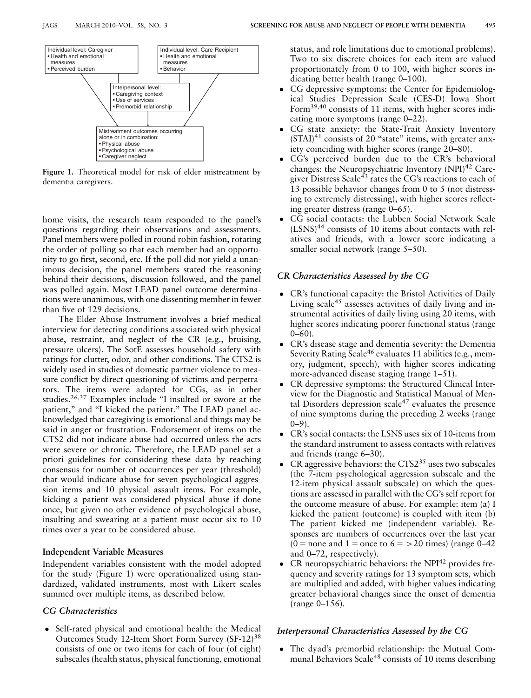

Figure 1. Theoretical model for risk of elder mistreatment by dementia caregivers.

home visits, the research team responded to the panel's questions regarding their observations and assessments. Panel members were polled in round robin fashion, rotating the order of polling so that each member had an opportunity to go first, second, etc. If the poll did not yield a unanimous decision, the panel members stated the reasoning behind their decisions, discussion followed, and the panel was polled again. Most LEAD panel outcome determinations were unanimous, with one dissenting member in fewer than five of 129 decisions.

The Elder Abuse Instrument involves a brief medical interview for detecting conditions associated with physical abuse, restraint, and neglect of the CR (e.g., bruising, pressure ulcers). The SotE assesses household safety with ratings for clutter, odor, and other conditions. The CTS2 is widely used in studies of domestic partner violence to measure conflict by direct questioning of victims and perpetrators. The items were adapted for CGs, as in other studies.26,37 Examples include ''I insulted or swore at the patient," and "I kicked the patient." The LEAD panel acknowledged that caregiving is emotional and things may be said in anger or frustration. Endorsement of items on the CTS2 did not indicate abuse had occurred unless the acts were severe or chronic. Therefore, the LEAD panel set a priori guidelines for considering these data by reaching consensus for number of occurrences per year (threshold) that would indicate abuse for seven psychological aggression items and 10 physical assault items. For example, kicking a patient was considered physical abuse if done once, but given no other evidence of psychological abuse, insulting and swearing at a patient must occur six to 10 times over a year to be considered abuse.

## Independent Variable Measures

Independent variables consistent with the model adopted for the study (Figure 1) were operationalized using standardized, validated instruments, most with Likert scales summed over multiple items, as described below.

#### CG Characteristics

• Self-rated physical and emotional health: the Medical Outcomes Study 12-Item Short Form Survey (SF-12)<sup>38</sup> consists of one or two items for each of four (of eight) subscales (health status, physical functioning, emotional status, and role limitations due to emotional problems). Two to six discrete choices for each item are valued proportionately from 0 to 100, with higher scores indicating better health (range 0–100).

- $\bullet$  CG depressive symptoms: the Center for Epidemiological Studies Depression Scale (CES-D) Iowa Short Form39,40 consists of 11 items, with higher scores indicating more symptoms (range 0–22).
- $\bullet$  CG state anxiety: the State-Trait Anxiety Inventory  $(STAI)^{41}$  consists of 20 "state" items, with greater anxiety coinciding with higher scores (range 20–80).
- $\bullet$  CG's perceived burden due to the CR's behavioral changes: the Neuropsychiatric Inventory  $(NPI)^{42}$  Caregiver Distress Scale<sup>43</sup> rates the CG's reactions to each of 13 possible behavior changes from 0 to 5 (not distressing to extremely distressing), with higher scores reflecting greater distress (range 0–65).
- $\bullet$  CG social contacts: the Lubben Social Network Scale  $(LSNS)^{44}$  consists of 10 items about contacts with relatives and friends, with a lower score indicating a smaller social network (range 5–50).

## CR Characteristics Assessed by the CG

- $\bullet$  CR's functional capacity: the Bristol Activities of Daily Living scale<sup>45</sup> assesses activities of daily living and instrumental activities of daily living using 20 items, with higher scores indicating poorer functional status (range  $0 - 60$ ).
- $\bullet$  CR's disease stage and dementia severity: the Dementia Severity Rating Scale<sup>46</sup> evaluates 11 abilities (e.g., memory, judgment, speech), with higher scores indicating more-advanced disease staging (range 1–51).
- $\bullet$  CR depressive symptoms: the Structured Clinical Interview for the Diagnostic and Statistical Manual of Mental Disorders depression scale<sup>47</sup> evaluates the presence of nine symptoms during the preceding 2 weeks (range  $(0-9)$ .
- CR's social contacts: the LSNS uses six of 10-items from the standard instrument to assess contacts with relatives and friends (range 6–30).
- $\bullet$ CR aggressive behaviors: the CTS2<sup>35</sup> uses two subscales (the 7-item psychological aggression subscale and the 12-item physical assault subscale) on which the questions are assessed in parallel with the CG's self report for the outcome measure of abuse. For example: item (a) I kicked the patient (outcome) is coupled with item (b) The patient kicked me (independent variable). Responses are numbers of occurrences over the last year  $(0 =$  none and  $1 =$  once to  $6 =$  > 20 times) (range 0–42 and 0–72, respectively).
- $\bullet$  $CR$  neuropsychiatric behaviors: the  $NPI^{42}$  provides frequency and severity ratings for 13 symptom sets, which are multiplied and added, with higher values indicating greater behavioral changes since the onset of dementia (range 0–156).

## Interpersonal Characteristics Assessed by the CG

- The dyad's premorbid relationship: the Mutual Communal Behaviors Scale<sup>48</sup> consists of 10 items describing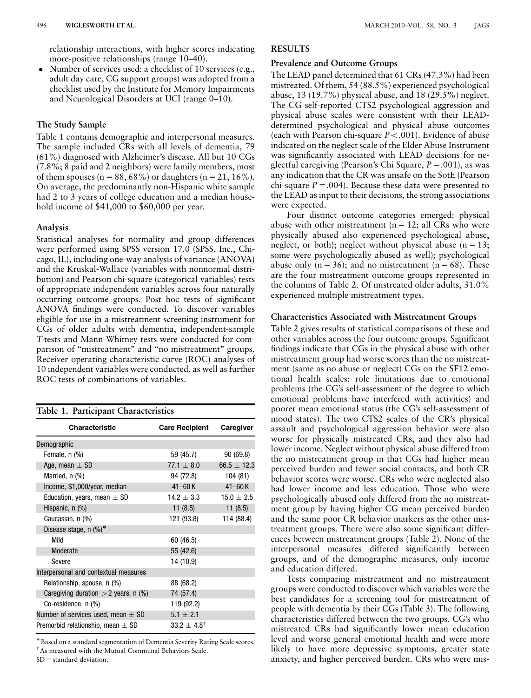relationship interactions, with higher scores indicating more-positive relationships (range 10–40).

 $\bullet$  Number of services used: a checklist of 10 services (e.g., adult day care, CG support groups) was adopted from a checklist used by the Institute for Memory Impairments and Neurological Disorders at UCI (range 0–10).

## The Study Sample

Table 1 contains demographic and interpersonal measures. The sample included CRs with all levels of dementia, 79 (61%) diagnosed with Alzheimer's disease. All but 10 CGs (7.8%; 8 paid and 2 neighbors) were family members, most of them spouses (n = 88, 68%) or daughters (n = 21, 16%). On average, the predominantly non-Hispanic white sample had 2 to 3 years of college education and a median household income of \$41,000 to \$60,000 per year.

## Analysis

Statistical analyses for normality and group differences were performed using SPSS version 17.0 (SPSS, Inc., Chicago, IL), including one-way analysis of variance (ANOVA) and the Kruskal-Wallace (variables with nonnormal distribution) and Pearson chi-square (categorical variables) tests of appropriate independent variables across four naturally occurring outcome groups. Post hoc tests of significant ANOVA findings were conducted. To discover variables eligible for use in a mistreatment screening instrument for CGs of older adults with dementia, independent-sample T-tests and Mann-Whitney tests were conducted for comparison of "mistreatment" and "no mistreatment" groups. Receiver operating characteristic curve (ROC) analyses of 10 independent variables were conducted, as well as further ROC tests of combinations of variables.

|  | Table 1. Participant Characteristics |  |  |
|--|--------------------------------------|--|--|
|--|--------------------------------------|--|--|

| <b>Characteristic</b>                     | <b>Care Recipient</b>  | Caregiver       |
|-------------------------------------------|------------------------|-----------------|
| Demographic                               |                        |                 |
| Female, n (%)                             | 59 (45.7)              | 90 (69.8)       |
| Age, mean $\pm$ SD                        | $77.1 + 8.0$           | $66.5 \pm 12.3$ |
| Married, n (%)                            | 94 (72.8)              | 104 (81)        |
| Income, \$1,000/year, median              | $41 - 60K$             | $41 - 60K$      |
| Education, years, mean $\pm$ SD           | $14.2 \pm 3.3$         | $15.0 \pm 2.5$  |
| Hispanic, $n$ $(\%)$                      | 11(8.5)                | 11(8.5)         |
| Caucasian, n (%)                          | 121 (93.8)             | 114 (88.4)      |
| Disease stage, n (%)*                     |                        |                 |
| Mild                                      | 60 (46.5)              |                 |
| Moderate                                  | 55 (42.6)              |                 |
| Severe                                    | 14 (10.9)              |                 |
| Interpersonal and contextual measures     |                        |                 |
| Relationship, spouse, n (%)               | 88 (68.2)              |                 |
| Caregiving duration $>$ 2 years, n $(\%)$ | 74 (57.4)              |                 |
| Co-residence, n (%)                       | 119 (92.2)             |                 |
| Number of services used, mean $\pm$ SD    | $5.1 \pm 2.1$          |                 |
| Premorbid relationship, mean $\pm$ SD     | $33.2 + 4.8^{\dagger}$ |                 |

-Based on a standard segmentation of Dementia Severity Rating Scale scores.  $*$  As measured with the Mutual Communal Behaviors Scale.

 $SD =$  standard deviation.

# **RESULTS**

## Prevalence and Outcome Groups

The LEAD panel determined that 61 CRs (47.3%) had been mistreated. Of them, 54 (88.5%) experienced psychological abuse, 13 (19.7%) physical abuse, and 18 (29.5%) neglect. The CG self-reported CTS2 psychological aggression and physical abuse scales were consistent with their LEADdetermined psychological and physical abuse outcomes (each with Pearson chi-square  $P < .001$ ). Evidence of abuse indicated on the neglect scale of the Elder Abuse Instrument was significantly associated with LEAD decisions for neglectful caregiving (Pearson's Chi Square,  $P = .001$ ), as was any indication that the CR was unsafe on the SotE (Pearson chi-square  $P = .004$ ). Because these data were presented to the LEAD as input to their decisions, the strong associations were expected.

Four distinct outcome categories emerged: physical abuse with other mistreatment ( $n = 12$ ; all CRs who were physically abused also experienced psychological abuse, neglect, or both); neglect without physical abuse  $(n = 13;$ some were psychologically abused as well); psychological abuse only ( $n = 36$ ); and no mistreatment ( $n = 68$ ). These are the four mistreatment outcome groups represented in the columns of Table 2. Of mistreated older adults, 31.0% experienced multiple mistreatment types.

## Characteristics Associated with Mistreatment Groups

Table 2 gives results of statistical comparisons of these and other variables across the four outcome groups. Significant findings indicate that CGs in the physical abuse with other mistreatment group had worse scores than the no mistreatment (same as no abuse or neglect) CGs on the SF12 emotional health scales: role limitations due to emotional problems (the CG's self-assessment of the degree to which emotional problems have interfered with activities) and poorer mean emotional status (the CG's self-assessment of mood states). The two CTS2 scales of the CR's physical assault and psychological aggression behavior were also worse for physically mistreated CRs, and they also had lower income. Neglect without physical abuse differed from the no mistreatment group in that CGs had higher mean perceived burden and fewer social contacts, and both CR behavior scores were worse. CRs who were neglected also had lower income and less education. Those who were psychologically abused only differed from the no mistreatment group by having higher CG mean perceived burden and the same poor CR behavior markers as the other mistreatment groups. There were also some significant differences between mistreatment groups (Table 2). None of the interpersonal measures differed significantly between groups, and of the demographic measures, only income and education differed.

Tests comparing mistreatment and no mistreatment groups were conducted to discover which variables were the best candidates for a screening tool for mistreatment of people with dementia by their CGs (Table 3). The following characteristics differed between the two groups. CG's who mistreated CRs had significantly lower mean education level and worse general emotional health and were more likely to have more depressive symptoms, greater state anxiety, and higher perceived burden. CRs who were mis-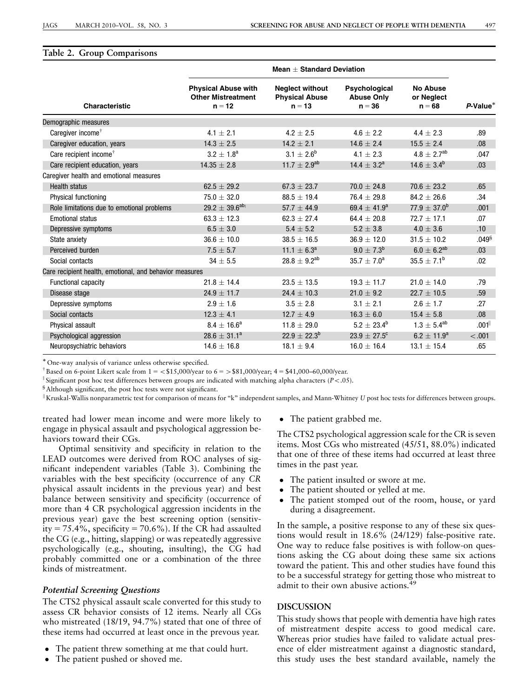#### Table 2. Group Comparisons

|                                                         | Mean $+$ Standard Deviation                                         |                                                             |                                                |                                           |                      |
|---------------------------------------------------------|---------------------------------------------------------------------|-------------------------------------------------------------|------------------------------------------------|-------------------------------------------|----------------------|
| Characteristic                                          | <b>Physical Abuse with</b><br><b>Other Mistreatment</b><br>$n = 12$ | <b>Neglect without</b><br><b>Physical Abuse</b><br>$n = 13$ | Psychological<br><b>Abuse Only</b><br>$n = 36$ | <b>No Abuse</b><br>or Neglect<br>$n = 68$ | P-Value*             |
| Demographic measures                                    |                                                                     |                                                             |                                                |                                           |                      |
| Caregiver income <sup>†</sup>                           | $4.1 \pm 2.1$                                                       | $4.2 \pm 2.5$                                               | $4.6 \pm 2.2$                                  | $4.4 \pm 2.3$                             | .89                  |
| Caregiver education, years                              | $14.3 \pm 2.5$                                                      | $14.2 \pm 2.1$                                              | $14.6 \pm 2.4$                                 | $15.5 \pm 2.4$                            | .08                  |
| Care recipient income <sup><math>\dagger</math></sup>   | $3.2 \pm 1.8^a$                                                     | $3.1 \pm 2.6^b$                                             | $4.1 + 2.3$                                    | $4.8 + 2.7^{ab}$                          | .047                 |
| Care recipient education, years                         | $14.35 \pm 2.8$                                                     | $11.7 \pm 2.9^{ab}$                                         | $14.4 \pm 3.2^{\rm a}$                         | $14.6 \pm 3.4^b$                          | .03                  |
| Caregiver health and emotional measures                 |                                                                     |                                                             |                                                |                                           |                      |
| <b>Health status</b>                                    | $62.5 \pm 29.2$                                                     | $67.3 + 23.7$                                               | $70.0 + 24.8$                                  | $70.6 + 23.2$                             | .65                  |
| Physical functioning                                    | $75.0 \pm 32.0$                                                     | $88.5 \pm 19.4$                                             | $76.4 + 29.8$                                  | $84.2 \pm 26.6$                           | .34                  |
| Role limitations due to emotional problems              | $29.2 \pm 39.6^{ab}$                                                | $57.7 \pm 44.9$                                             | $69.4 + 41.9^a$                                | $77.9 + 37.0^b$                           | .001                 |
| <b>Emotional status</b>                                 | $63.3 \pm 12.3$                                                     | $62.3 \pm 27.4$                                             | $64.4 \pm 20.8$                                | $72.7 + 17.1$                             | .07                  |
| Depressive symptoms                                     | $6.5 + 3.0$                                                         | $5.4 + 5.2$                                                 | $5.2 + 3.8$                                    | $4.0 + 3.6$                               | .10                  |
| State anxiety                                           | $36.6 + 10.0$                                                       | $38.5 \pm 16.5$                                             | $36.9 + 12.0$                                  | $31.5 + 10.2$                             | $.049^{\$}$          |
| Perceived burden                                        | $7.5 \pm 5.7$                                                       | 11.1 $\pm$ 6.3 <sup>a</sup>                                 | $9.0 \pm 7.3^{b}$                              | $6.0 \pm 6.2^{ab}$                        | .03                  |
| Social contacts                                         | $34 \pm 5.5$                                                        | $28.8 \pm 9.2^{ab}$                                         | $35.7 \pm 7.0^a$                               | $35.5 \pm 7.1^{\circ}$                    | .02                  |
| Care recipient health, emotional, and behavior measures |                                                                     |                                                             |                                                |                                           |                      |
| Functional capacity                                     | $21.8 + 14.4$                                                       | $23.5 \pm 13.5$                                             | $19.3 + 11.7$                                  | $21.0 + 14.0$                             | .79                  |
| Disease stage                                           | $24.9 \pm 11.7$                                                     | $24.4 \pm 10.3$                                             | $21.0 \pm 9.2$                                 | $22.7 \pm 10.5$                           | .59                  |
| Depressive symptoms                                     | $2.9 \pm 1.6$                                                       | $3.5 \pm 2.8$                                               | $3.1 \pm 2.1$                                  | $2.6 \pm 1.7$                             | .27                  |
| Social contacts                                         | $12.3 \pm 4.1$                                                      | $12.7 \pm 4.9$                                              | $16.3 \pm 6.0$                                 | $15.4 \pm 5.8$                            | .08                  |
| Physical assault                                        | $8.4 \pm 16.6^a$                                                    | $11.8 + 29.0$                                               | $5.2 + 23.4^b$                                 | $1.3 \pm 5.4^{ab}$                        | $.001$ <sup>II</sup> |
| Psychological aggression                                | $28.6 \pm 31.1^a$                                                   | $22.9 \pm 22.3^b$                                           | $23.9 \pm 27.5^c$                              | $6.2 \pm 11.9^a$                          | < .001               |
| Neuropsychiatric behaviors                              | $14.6 \pm 16.8$                                                     | $18.1 \pm 9.4$                                              | $16.0 \pm 16.4$                                | $13.1 \pm 15.4$                           | .65                  |

-One-way analysis of variance unless otherwise specified.

<sup>†</sup> Based on 6-point Likert scale from  $1 = \frac{15,000}{year}$  to  $6 = \frac{15,000}{year}$ ; 4 = \$41,000–60,000/year.

 $^\ddag$  Significant post hoc test differences between groups are indicated with matching alpha characters (P<.05).

§ Although significant, the post hoc tests were not significant.

 $\mathbb K$ ruskal-Wallis nonparametric test for comparison of means for "k" independent samples, and Mann-Whitney U post hoc tests for differences between groups.

treated had lower mean income and were more likely to engage in physical assault and psychological aggression behaviors toward their CGs.

Optimal sensitivity and specificity in relation to the LEAD outcomes were derived from ROC analyses of significant independent variables (Table 3). Combining the variables with the best specificity (occurrence of any CR physical assault incidents in the previous year) and best balance between sensitivity and specificity (occurrence of more than 4 CR psychological aggression incidents in the previous year) gave the best screening option (sensitivity = 75.4%, specificity = 70.6%). If the CR had assaulted the CG (e.g., hitting, slapping) or was repeatedly aggressive psychologically (e.g., shouting, insulting), the CG had probably committed one or a combination of the three kinds of mistreatment.

## Potential Screening Questions

The CTS2 physical assault scale converted for this study to assess CR behavior consists of 12 items. Nearly all CGs who mistreated (18/19, 94.7%) stated that one of three of these items had occurred at least once in the prevous year.

- The patient threw something at me that could hurt.
- The patient pushed or shoved me.

• The patient grabbed me.

The CTS2 psychological aggression scale for the CR is seven items. Most CGs who mistreated (45/51, 88.0%) indicated that one of three of these items had occurred at least three times in the past year.

- The patient insulted or swore at me.
- $\bullet$ The patient shouted or yelled at me.
- $\bullet$  The patient stomped out of the room, house, or yard during a disagreement.

In the sample, a positive response to any of these six questions would result in 18.6% (24/129) false-positive rate. One way to reduce false positives is with follow-on questions asking the CG about doing these same six actions toward the patient. This and other studies have found this to be a successful strategy for getting those who mistreat to admit to their own abusive actions.<sup>49</sup>

## DISCUSSION

This study shows that people with dementia have high rates of mistreatment despite access to good medical care. Whereas prior studies have failed to validate actual presence of elder mistreatment against a diagnostic standard, this study uses the best standard available, namely the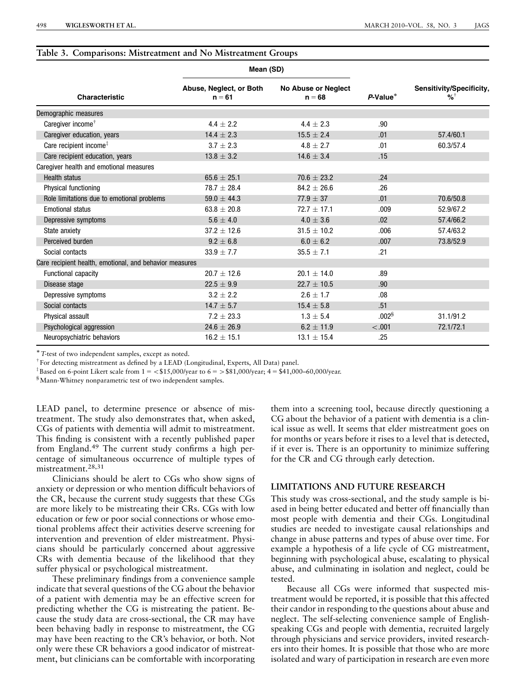#### Table 3. Comparisons: Mistreatment and No Mistreatment Groups

|                                                         | Mean (SD)                           |                                        |                   |                               |  |
|---------------------------------------------------------|-------------------------------------|----------------------------------------|-------------------|-------------------------------|--|
| <b>Characteristic</b>                                   | Abuse, Neglect, or Both<br>$n = 61$ | <b>No Abuse or Neglect</b><br>$n = 68$ | P-Value*          | Sensitivity/Specificity,<br>% |  |
| Demographic measures                                    |                                     |                                        |                   |                               |  |
| Caregiver income <sup>†</sup>                           | $4.4 \pm 2.2$                       | $4.4 \pm 2.3$                          | .90               |                               |  |
| Caregiver education, years                              | $14.4 \pm 2.3$                      | $15.5 \pm 2.4$                         | .01               | 57.4/60.1                     |  |
| Care recipient income <sup><math>†</math></sup>         | $3.7 \pm 2.3$                       | $4.8 \pm 2.7$                          | .01               | 60.3/57.4                     |  |
| Care recipient education, years                         | $13.8 \pm 3.2$                      | $14.6 \pm 3.4$                         | .15               |                               |  |
| Caregiver health and emotional measures                 |                                     |                                        |                   |                               |  |
| <b>Health status</b>                                    | $65.6 \pm 25.1$                     | $70.6 \pm 23.2$                        | .24               |                               |  |
| Physical functioning                                    | $78.7 + 28.4$                       | $84.2 + 26.6$                          | .26               |                               |  |
| Role limitations due to emotional problems              | $59.0 \pm 44.3$                     | $77.9 \pm 37$                          | .01               | 70.6/50.8                     |  |
| <b>Emotional status</b>                                 | $63.8 \pm 20.8$                     | $72.7 + 17.1$                          | .009              | 52.9/67.2                     |  |
| Depressive symptoms                                     | $5.6 + 4.0$                         | $4.0 \pm 3.6$                          | .02               | 57.4/66.2                     |  |
| State anxiety                                           | $37.2 + 12.6$                       | $31.5 + 10.2$                          | .006              | 57.4/63.2                     |  |
| Perceived burden                                        | $9.2 \pm 6.8$                       | $6.0 \pm 6.2$                          | .007              | 73.8/52.9                     |  |
| Social contacts                                         | $33.9 \pm 7.7$                      | $35.5 \pm 7.1$                         | .21               |                               |  |
| Care recipient health, emotional, and behavior measures |                                     |                                        |                   |                               |  |
| Functional capacity                                     | $20.7 \pm 12.6$                     | $20.1 \pm 14.0$                        | .89               |                               |  |
| Disease stage                                           | $22.5 \pm 9.9$                      | $22.7 \pm 10.5$                        | .90               |                               |  |
| Depressive symptoms                                     | $3.2 \pm 2.2$                       | $2.6 \pm 1.7$                          | .08               |                               |  |
| Social contacts                                         | $14.7 + 5.7$                        | $15.4 \pm 5.8$                         | .51               |                               |  |
| Physical assault                                        | $7.2 \pm 23.3$                      | $1.3 \pm 5.4$                          | .002 <sup>§</sup> | 31.1/91.2                     |  |
| Psychological aggression                                | $24.6 \pm 26.9$                     | $6.2 \pm 11.9$                         | $-.001$           | 72.1/72.1                     |  |
| Neuropsychiatric behaviors                              | $16.2 \pm 15.1$                     | $13.1 \pm 15.4$                        | .25               |                               |  |

-T-test of two independent samples, except as noted.

<sup>†</sup> For detecting mistreatment as defined by a LEAD (Longitudinal, Experts, All Data) panel.

 $^{\ddagger}$ Based on 6-point Likert scale from  $1 = <$  \$15,000/year to 6  $=$  > \$81,000/year; 4  $=$  \$41,000–60,000/year.

§Mann-Whitney nonparametric test of two independent samples.

LEAD panel, to determine presence or absence of mistreatment. The study also demonstrates that, when asked, CGs of patients with dementia will admit to mistreatment. This finding is consistent with a recently published paper from England.<sup>49</sup> The current study confirms a high percentage of simultaneous occurrence of multiple types of mistreatment.28,31

Clinicians should be alert to CGs who show signs of anxiety or depression or who mention difficult behaviors of the CR, because the current study suggests that these CGs are more likely to be mistreating their CRs. CGs with low education or few or poor social connections or whose emotional problems affect their activities deserve screening for intervention and prevention of elder mistreatment. Physicians should be particularly concerned about aggressive CRs with dementia because of the likelihood that they suffer physical or psychological mistreatment.

These preliminary findings from a convenience sample indicate that several questions of the CG about the behavior of a patient with dementia may be an effective screen for predicting whether the CG is mistreating the patient. Because the study data are cross-sectional, the CR may have been behaving badly in response to mistreatment, the CG may have been reacting to the CR's behavior, or both. Not only were these CR behaviors a good indicator of mistreatment, but clinicians can be comfortable with incorporating them into a screening tool, because directly questioning a CG about the behavior of a patient with dementia is a clinical issue as well. It seems that elder mistreatment goes on for months or years before it rises to a level that is detected, if it ever is. There is an opportunity to minimize suffering for the CR and CG through early detection.

# LIMITATIONS AND FUTURE RESEARCH

This study was cross-sectional, and the study sample is biased in being better educated and better off financially than most people with dementia and their CGs. Longitudinal studies are needed to investigate causal relationships and change in abuse patterns and types of abuse over time. For example a hypothesis of a life cycle of CG mistreatment, beginning with psychological abuse, escalating to physical abuse, and culminating in isolation and neglect, could be tested.

Because all CGs were informed that suspected mistreatment would be reported, it is possible that this affected their candor in responding to the questions about abuse and neglect. The self-selecting convenience sample of Englishspeaking CGs and people with dementia, recruited largely through physicians and service providers, invited researchers into their homes. It is possible that those who are more isolated and wary of participation in research are even more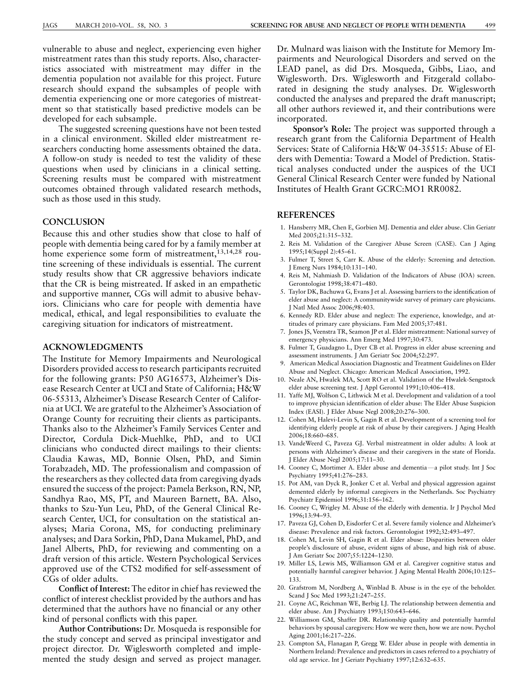vulnerable to abuse and neglect, experiencing even higher mistreatment rates than this study reports. Also, characteristics associated with mistreatment may differ in the dementia population not available for this project. Future research should expand the subsamples of people with dementia experiencing one or more categories of mistreatment so that statistically based predictive models can be developed for each subsample.

The suggested screening questions have not been tested in a clinical environment. Skilled elder mistreatment researchers conducting home assessments obtained the data. A follow-on study is needed to test the validity of these questions when used by clinicians in a clinical setting. Screening results must be compared with mistreatment outcomes obtained through validated research methods, such as those used in this study.

#### **CONCLUSION**

Because this and other studies show that close to half of people with dementia being cared for by a family member at home experience some form of mistreatment,<sup>13,14,28</sup> routine screening of these individuals is essential. The current study results show that CR aggressive behaviors indicate that the CR is being mistreated. If asked in an empathetic and supportive manner, CGs will admit to abusive behaviors. Clinicians who care for people with dementia have medical, ethical, and legal responsibilities to evaluate the caregiving situation for indicators of mistreatment.

#### ACKNOWLEDGMENTS

The Institute for Memory Impairments and Neurological Disorders provided access to research participants recruited for the following grants: P50 AG16573, Alzheimer's Disease Research Center at UCI and State of California; H&W 06-55313, Alzheimer's Disease Research Center of California at UCI. We are grateful to the Alzheimer's Association of Orange County for recruiting their clients as participants. Thanks also to the Alzheimer's Family Services Center and Director, Cordula Dick-Muehlke, PhD, and to UCI clinicians who conducted direct mailings to their clients: Claudia Kawas, MD, Bonnie Olsen, PhD, and Simin Torabzadeh, MD. The professionalism and compassion of the researchers as they collected data from caregiving dyads ensured the success of the project: Pamela Berkson, RN, NP, Sandhya Rao, MS, PT, and Maureen Barnett, BA. Also, thanks to Szu-Yun Leu, PhD, of the General Clinical Research Center, UCI, for consultation on the statistical analyses; Maria Corona, MS, for conducting preliminary analyses; and Dara Sorkin, PhD, Dana Mukamel, PhD, and Janel Alberts, PhD, for reviewing and commenting on a draft version of this article. Western Psychological Services approved use of the CTS2 modified for self-assessment of CGs of older adults.

Conflict of Interest: The editor in chief has reviewed the conflict of interest checklist provided by the authors and has determined that the authors have no financial or any other kind of personal conflicts with this paper.

Author Contributions: Dr. Mosqueda is responsible for the study concept and served as principal investigator and project director. Dr. Wiglesworth completed and implemented the study design and served as project manager.

Dr. Mulnard was liaison with the Institute for Memory Impairments and Neurological Disorders and served on the LEAD panel, as did Drs. Mosqueda, Gibbs, Liao, and Wiglesworth. Drs. Wiglesworth and Fitzgerald collaborated in designing the study analyses. Dr. Wiglesworth conducted the analyses and prepared the draft manuscript; all other authors reviewed it, and their contributions were incorporated.

Sponsor's Role: The project was supported through a research grant from the California Department of Health Services: State of California H&W 04-35515: Abuse of Elders with Dementia: Toward a Model of Prediction. Statistical analyses conducted under the auspices of the UCI General Clinical Research Center were funded by National Institutes of Health Grant GCRC:MO1 RR0082.

#### **REFERENCES**

- 1. Hansberry MR, Chen E, Gorbien MJ. Dementia and elder abuse. Clin Geriatr Med 2005;21:315–332.
- 2. Reis M. Validation of the Caregiver Abuse Screen (CASE). Can J Aging 1995;14(Suppl 2):45–61.
- 3. Fulmer T, Street S, Carr K. Abuse of the elderly: Screening and detection. J Emerg Nurs 1984;10:131–140.
- 4. Reis M, Nahmiash D. Validation of the Indicators of Abuse (IOA) screen. Gerontologist 1998;38:471–480.
- 5. Taylor DK, Bachuwa G, Evans J et al. Assessing barriers to the identification of elder abuse and neglect: A communitywide survey of primary care physicians. J Natl Med Assoc 2006;98:403.
- 6. Kennedy RD. Elder abuse and neglect: The experience, knowledge, and attitudes of primary care physicians. Fam Med 2005;37:481.
- 7. Jones JS, Veenstra TR, Seamon JP et al. Elder mistreatment: National survey of emergency physicians. Ann Emerg Med 1997;30:473.
- 8. Fulmer T, Guadagno L, Dyer CB et al. Progress in elder abuse screening and assessment instruments. J Am Geriatr Soc 2004;52:297.
- 9. American Medical Association Diagnostic and Treatment Guidelines on Elder Abuse and Neglect. Chicago: American Medical Association, 1992.
- 10. Neale AN, Hwalek MA, Scott RO et al. Validation of the Hwalek-Sengstock elder abuse screening test. J Appl Gerontol 1991;10:406–418.
- 11. Yaffe MJ, Wolfson C, Lithwick M et al. Development and validation of a tool to improve physician identification of elder abuse: The Elder Abuse Suspicion Index (EASI). J Elder Abuse Negl 2008;20:276–300.
- 12. Cohen M, Halevi-Levin S, Gagin R et al. Development of a screening tool for identifying elderly people at risk of abuse by their caregivers. J Aging Health 2006;18:660–685.
- 13. VandeWeerd C, Paveza GJ. Verbal mistreatment in older adults: A look at persons with Alzheimer's disease and their caregivers in the state of Florida. J Elder Abuse Negl 2005;17:11–30.
- 14. Cooney C, Mortimer A. Elder abuse and dementia-a pilot study. Int J Soc Psychiatry 1995;41:276–283.
- 15. Pot AM, van Dyck R, Jonker C et al. Verbal and physical aggression against demented elderly by informal caregivers in the Netherlands. Soc Psychiatry Psychiatr Epidemiol 1996;31:156–162.
- 16. Cooney C, Wrigley M. Abuse of the elderly with dementia. Ir J Psychol Med 1996;13:94–93.
- 17. Paveza GJ, Cohen D, Eisdorfer C et al. Severe family violence and Alzheimer's disease: Prevalence and risk factors. Gerontologist 1992;32:493–497.
- 18. Cohen M, Levin SH, Gagin R et al. Elder abuse: Disparities between older people's disclosure of abuse, evident signs of abuse, and high risk of abuse. J Am Geriatr Soc 2007;55:1224–1230.
- 19. Miller LS, Lewis MS, Williamson GM et al. Caregiver cognitive status and potentially harmful caregiver behavior. J Aging Mental Health 2006;10:125– 133.
- 20. Grafstrom M, Nordberg A, Winblad B. Abuse is in the eye of the beholder. Scand J Soc Med 1993;21:247–255.
- 21. Coyne AC, Reichman WE, Berbig LJ. The relationship between dementia and elder abuse. Am J Psychiatry 1993;150:643–646.
- 22. Williamson GM, Shaffer DR. Relationship quality and potentially harmful behaviors by spousal caregivers: How we were then, how we are now. Psychol Aging 2001;16:217–226.
- 23. Compton SA, Flanagan P, Gregg W. Elder abuse in people with dementia in Northern Ireland: Prevalence and predictors in cases referred to a psychiatry of old age service. Int J Geriatr Psychiatry 1997;12:632–635.